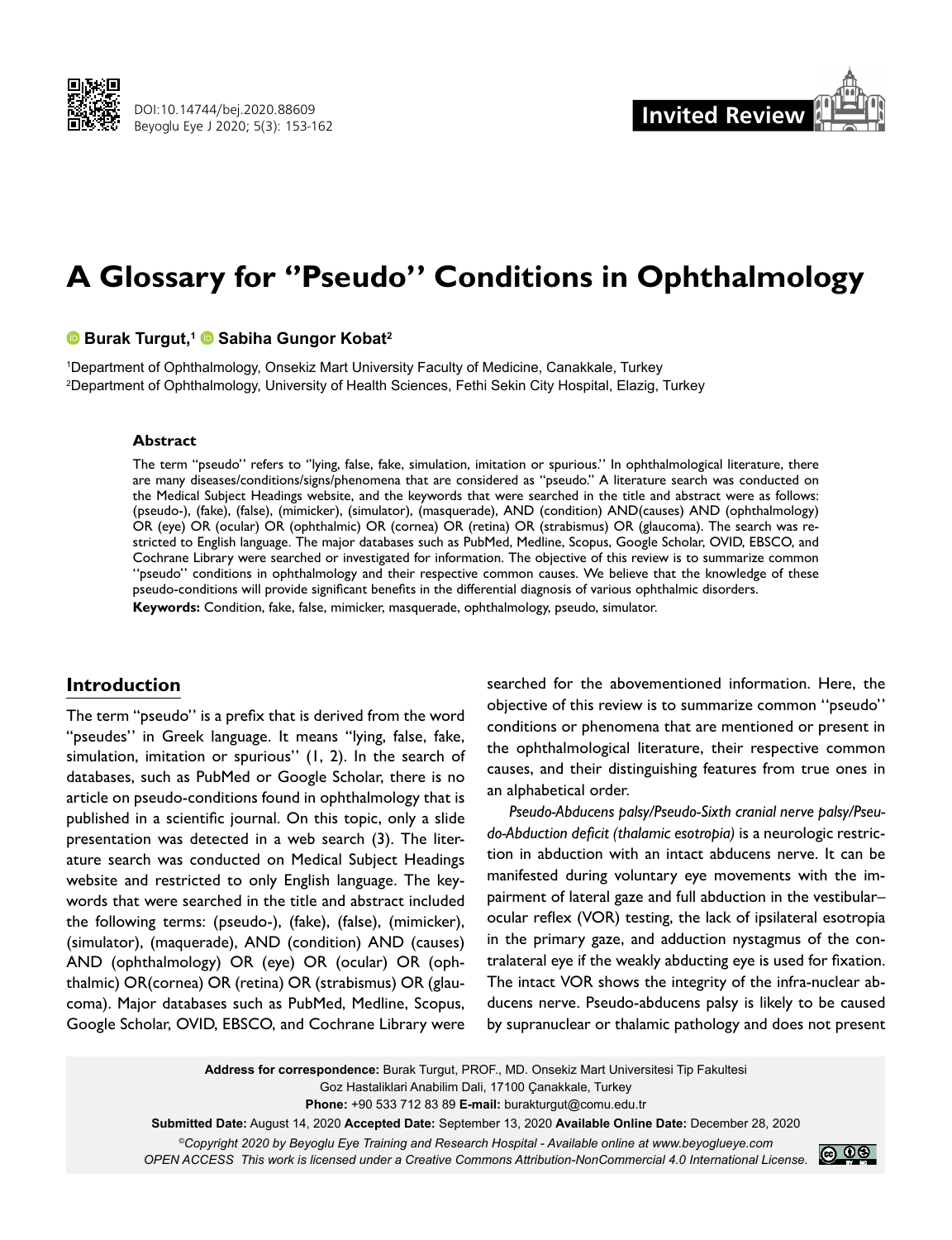



# **A Glossary for ''Pseudo'' Conditions in Ophthalmology**

### **Burak Turgut,1Sabiha Gungor Kobat2**

1 Department of Ophthalmology, Onsekiz Mart University Faculty of Medicine, Canakkale, Turkey 2 Department of Ophthalmology, University of Health Sciences, Fethi Sekin City Hospital, Elazig, Turkey

#### **Abstract**

The term "pseudo'' refers to ''lying, false, fake, simulation, imitation or spurious.'' In ophthalmological literature, there are many diseases/conditions/signs/phenomena that are considered as "pseudo." A literature search was conducted on the Medical Subject Headings website, and the keywords that were searched in the title and abstract were as follows: (pseudo-), (fake), (false), (mimicker), (simulator), (masquerade), AND (condition) AND(causes) AND (ophthalmology) OR (eye) OR (ocular) OR (ophthalmic) OR (cornea) OR (retina) OR (strabismus) OR (glaucoma). The search was restricted to English language. The major databases such as PubMed, Medline, Scopus, Google Scholar, OVID, EBSCO, and Cochrane Library were searched or investigated for information. The objective of this review is to summarize common ''pseudo'' conditions in ophthalmology and their respective common causes. We believe that the knowledge of these pseudo-conditions will provide significant benefits in the differential diagnosis of various ophthalmic disorders. **Keywords:** Condition, fake, false, mimicker, masquerade, ophthalmology, pseudo, simulator.

## **Introduction**

The term "pseudo'' is a prefix that is derived from the word "pseudes'' in Greek language. It means "lying, false, fake, simulation, imitation or spurious'' (1, 2). In the search of databases, such as PubMed or Google Scholar, there is no article on pseudo-conditions found in ophthalmology that is published in a scientific journal. On this topic, only a slide presentation was detected in a web search (3). The literature search was conducted on Medical Subject Headings website and restricted to only English language. The keywords that were searched in the title and abstract included the following terms: (pseudo-), (fake), (false), (mimicker), (simulator), (maquerade), AND (condition) AND (causes) AND (ophthalmology) OR (eye) OR (ocular) OR (ophthalmic) OR(cornea) OR (retina) OR (strabismus) OR (glaucoma). Major databases such as PubMed, Medline, Scopus, Google Scholar, OVID, EBSCO, and Cochrane Library were

searched for the abovementioned information. Here, the objective of this review is to summarize common ''pseudo'' conditions or phenomena that are mentioned or present in the ophthalmological literature, their respective common causes, and their distinguishing features from true ones in an alphabetical order.

*Pseudo-Abducens palsy/Pseudo-Sixth cranial nerve palsy/Pseudo-Abduction deficit (thalamic esotropia)* is a neurologic restriction in abduction with an intact abducens nerve. It can be manifested during voluntary eye movements with the impairment of lateral gaze and full abduction in the vestibular– ocular reflex (VOR) testing, the lack of ipsilateral esotropia in the primary gaze, and adduction nystagmus of the contralateral eye if the weakly abducting eye is used for fixation. The intact VOR shows the integrity of the infra-nuclear abducens nerve. Pseudo-abducens palsy is likely to be caused by supranuclear or thalamic pathology and does not present

**Address for correspondence:** Burak Turgut, PROF., MD. Onsekiz Mart Universitesi Tip Fakultesi Goz Hastaliklari Anabilim Dali, 17100 Çanakkale, Turkey **Phone:** +90 533 712 83 89 **E-mail:** burakturgut@comu.edu.tr **Submitted Date:** August 14, 2020 **Accepted Date:** September 13, 2020 **Available Online Date:** December 28, 2020 *©Copyright 2020 by Beyoglu Eye Training and Research Hospital - Available online at www.beyoglueye.com OPEN ACCESS This work is licensed under a Creative Commons Attribution-NonCommercial 4.0 International License.*

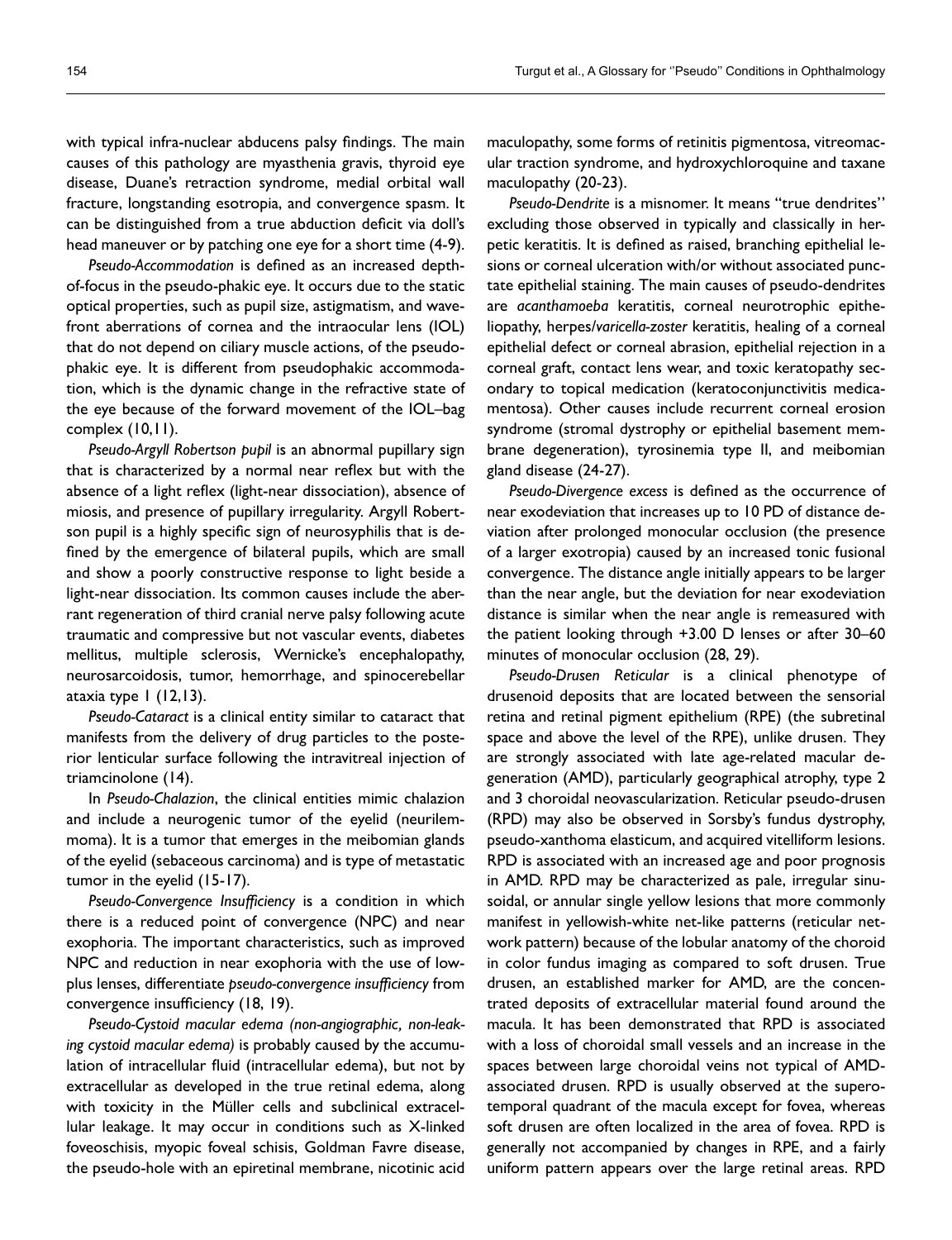with typical infra-nuclear abducens palsy findings. The main causes of this pathology are myasthenia gravis, thyroid eye disease, Duane's retraction syndrome, medial orbital wall fracture, longstanding esotropia, and convergence spasm. It can be distinguished from a true abduction deficit via doll's head maneuver or by patching one eye for a short time (4-9).

*Pseudo-Accommodation* is defined as an increased depthof-focus in the pseudo-phakic eye. It occurs due to the static optical properties, such as pupil size, astigmatism, and wavefront aberrations of cornea and the intraocular lens (IOL) that do not depend on ciliary muscle actions, of the pseudophakic eye. It is different from pseudophakic accommodation, which is the dynamic change in the refractive state of the eye because of the forward movement of the IOL–bag complex (10,11).

*Pseudo-Argyll Robertson pupil* is an abnormal pupillary sign that is characterized by a normal near reflex but with the absence of a light reflex (light-near dissociation), absence of miosis, and presence of pupillary irregularity. Argyll Robertson pupil is a highly specific sign of neurosyphilis that is defined by the emergence of bilateral pupils, which are small and show a poorly constructive response to light beside a light-near dissociation. Its common causes include the aberrant regeneration of third cranial nerve palsy following acute traumatic and compressive but not vascular events, diabetes mellitus, multiple sclerosis, Wernicke's encephalopathy, neurosarcoidosis, tumor, hemorrhage, and spinocerebellar ataxia type 1 (12,13).

*Pseudo-Cataract* is a clinical entity similar to cataract that manifests from the delivery of drug particles to the posterior lenticular surface following the intravitreal injection of triamcinolone (14).

In *Pseudo-Chalazion*, the clinical entities mimic chalazion and include a neurogenic tumor of the eyelid (neurilemmoma). It is a tumor that emerges in the meibomian glands of the eyelid (sebaceous carcinoma) and is type of metastatic tumor in the eyelid (15-17).

*Pseudo-Convergence Insufficiency* is a condition in which there is a reduced point of convergence (NPC) and near exophoria. The important characteristics, such as improved NPC and reduction in near exophoria with the use of lowplus lenses, differentiate *pseudo-convergence insufficiency* from convergence insufficiency (18, 19).

*Pseudo-Cystoid macular edema (non-angiographic, non-leaking cystoid macular edema)* is probably caused by the accumulation of intracellular fluid (intracellular edema), but not by extracellular as developed in the true retinal edema, along with toxicity in the Müller cells and subclinical extracellular leakage. It may occur in conditions such as X-linked foveoschisis, myopic foveal schisis, Goldman Favre disease, the pseudo-hole with an epiretinal membrane, nicotinic acid

maculopathy, some forms of retinitis pigmentosa, vitreomacular traction syndrome, and hydroxychloroquine and taxane maculopathy (20-23).

*Pseudo-Dendrite* is a misnomer. It means "true dendrites'' excluding those observed in typically and classically in herpetic keratitis. It is defined as raised, branching epithelial lesions or corneal ulceration with/or without associated punctate epithelial staining. The main causes of pseudo-dendrites are *acanthamoeba* keratitis, corneal neurotrophic epitheliopathy, herpes/*varicella-zoster* keratitis, healing of a corneal epithelial defect or corneal abrasion, epithelial rejection in a corneal graft, contact lens wear, and toxic keratopathy secondary to topical medication (keratoconjunctivitis medicamentosa). Other causes include recurrent corneal erosion syndrome (stromal dystrophy or epithelial basement membrane degeneration), tyrosinemia type II, and meibomian gland disease (24-27).

*Pseudo-Divergence excess* is defined as the occurrence of near exodeviation that increases up to 10 PD of distance deviation after prolonged monocular occlusion (the presence of a larger exotropia) caused by an increased tonic fusional convergence. The distance angle initially appears to be larger than the near angle, but the deviation for near exodeviation distance is similar when the near angle is remeasured with the patient looking through +3.00 D lenses or after 30–60 minutes of monocular occlusion (28, 29).

*Pseudo-Drusen Reticular* is a clinical phenotype of drusenoid deposits that are located between the sensorial retina and retinal pigment epithelium (RPE) (the subretinal space and above the level of the RPE), unlike drusen. They are strongly associated with late age-related macular degeneration (AMD), particularly geographical atrophy, type 2 and 3 choroidal neovascularization. Reticular pseudo-drusen (RPD) may also be observed in Sorsby's fundus dystrophy, pseudo-xanthoma elasticum, and acquired vitelliform lesions. RPD is associated with an increased age and poor prognosis in AMD. RPD may be characterized as pale, irregular sinusoidal, or annular single yellow lesions that more commonly manifest in yellowish-white net-like patterns (reticular network pattern) because of the lobular anatomy of the choroid in color fundus imaging as compared to soft drusen. True drusen, an established marker for AMD, are the concentrated deposits of extracellular material found around the macula. It has been demonstrated that RPD is associated with a loss of choroidal small vessels and an increase in the spaces between large choroidal veins not typical of AMDassociated drusen. RPD is usually observed at the superotemporal quadrant of the macula except for fovea, whereas soft drusen are often localized in the area of fovea. RPD is generally not accompanied by changes in RPE, and a fairly uniform pattern appears over the large retinal areas. RPD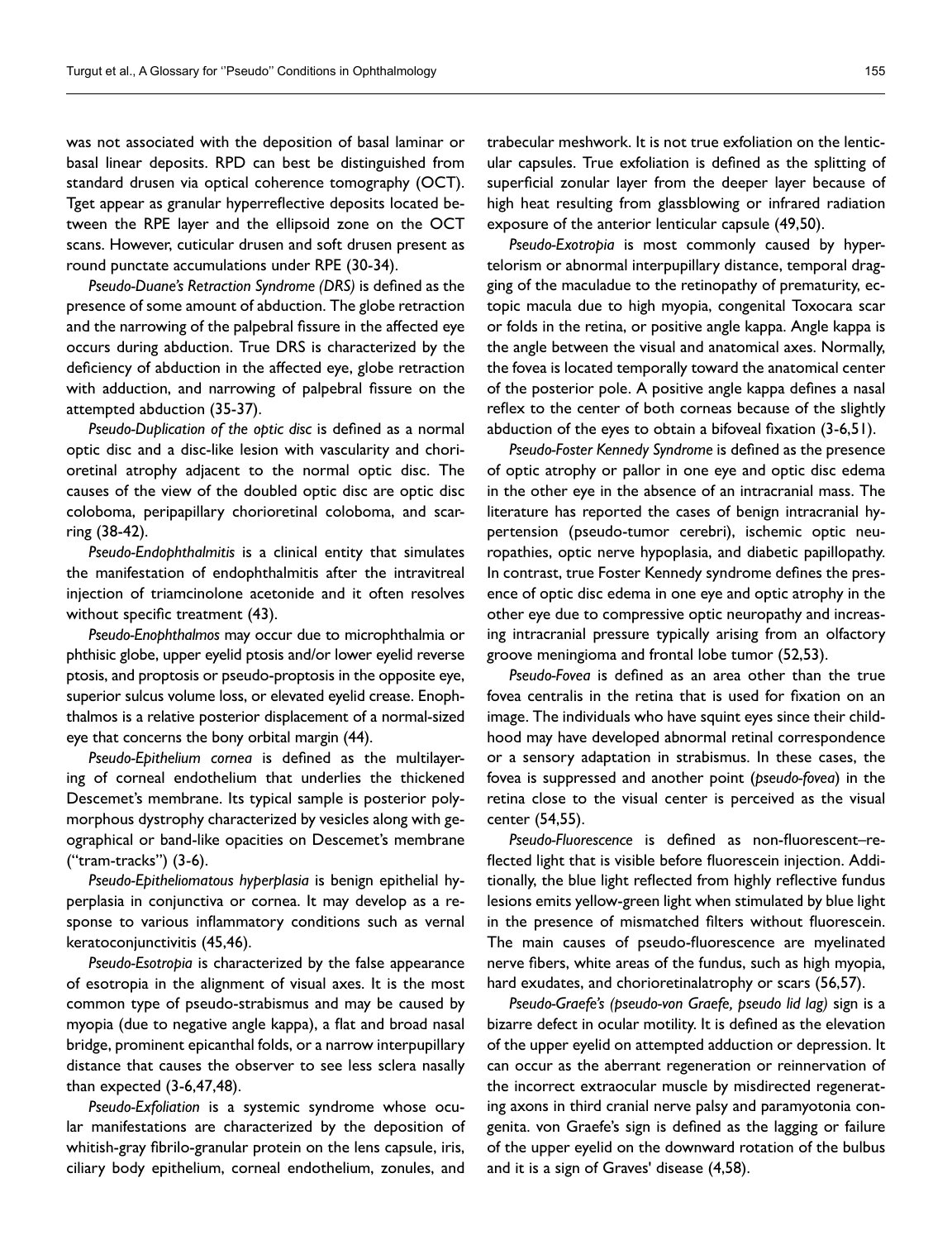was not associated with the deposition of basal laminar or basal linear deposits. RPD can best be distinguished from standard drusen via optical coherence tomography (OCT). Tget appear as granular hyperreflective deposits located between the RPE layer and the ellipsoid zone on the OCT scans. However, cuticular drusen and soft drusen present as round punctate accumulations under RPE (30-34).

*Pseudo-Duane's Retraction Syndrome (DRS)* is defined as the presence of some amount of abduction. The globe retraction and the narrowing of the palpebral fissure in the affected eye occurs during abduction. True DRS is characterized by the deficiency of abduction in the affected eye, globe retraction with adduction, and narrowing of palpebral fissure on the attempted abduction (35-37).

*Pseudo-Duplication of the optic disc* is defined as a normal optic disc and a disc-like lesion with vascularity and chorioretinal atrophy adjacent to the normal optic disc. The causes of the view of the doubled optic disc are optic disc coloboma, peripapillary chorioretinal coloboma, and scarring (38-42).

*Pseudo-Endophthalmitis* is a clinical entity that simulates the manifestation of endophthalmitis after the intravitreal injection of triamcinolone acetonide and it often resolves without specific treatment (43).

*Pseudo-Enophthalmos* may occur due to microphthalmia or phthisic globe, upper eyelid ptosis and/or lower eyelid reverse ptosis, and proptosis or pseudo-proptosis in the opposite eye, superior sulcus volume loss, or elevated eyelid crease. Enophthalmos is a relative posterior displacement of a normal-sized eye that concerns the bony orbital margin (44).

*Pseudo-Epithelium cornea* is defined as the multilayering of corneal endothelium that underlies the thickened Descemet's membrane. Its typical sample is posterior polymorphous dystrophy characterized by vesicles along with geographical or band-like opacities on Descemet's membrane ("tram-tracks") (3-6).

*Pseudo-Epitheliomatous hyperplasia* is benign epithelial hyperplasia in conjunctiva or cornea. It may develop as a response to various inflammatory conditions such as vernal keratoconjunctivitis (45,46).

*Pseudo-Esotropia* is characterized by the false appearance of esotropia in the alignment of visual axes. It is the most common type of pseudo-strabismus and may be caused by myopia (due to negative angle kappa), a flat and broad nasal bridge, prominent epicanthal folds, or a narrow interpupillary distance that causes the observer to see less sclera nasally than expected (3-6,47,48).

*Pseudo-Exfoliation* is a systemic syndrome whose ocular manifestations are characterized by the deposition of whitish-gray fibrilo-granular protein on the lens capsule, iris, ciliary body epithelium, corneal endothelium, zonules, and trabecular meshwork. It is not true exfoliation on the lenticular capsules. True exfoliation is defined as the splitting of superficial zonular layer from the deeper layer because of high heat resulting from glassblowing or infrared radiation exposure of the anterior lenticular capsule (49,50).

*Pseudo-Exotropia* is most commonly caused by hypertelorism or abnormal interpupillary distance, temporal dragging of the maculadue to the retinopathy of prematurity, ectopic macula due to high myopia, congenital Toxocara scar or folds in the retina, or positive angle kappa. Angle kappa is the angle between the visual and anatomical axes. Normally, the fovea is located temporally toward the anatomical center of the posterior pole. A positive angle kappa defines a nasal reflex to the center of both corneas because of the slightly abduction of the eyes to obtain a bifoveal fixation (3-6,51).

*Pseudo-Foster Kennedy Syndrome* is defined as the presence of optic atrophy or pallor in one eye and optic disc edema in the other eye in the absence of an intracranial mass. The literature has reported the cases of benign intracranial hypertension (pseudo-tumor cerebri), ischemic optic neuropathies, optic nerve hypoplasia, and diabetic papillopathy. In contrast, true Foster Kennedy syndrome defines the presence of optic disc edema in one eye and optic atrophy in the other eye due to compressive optic neuropathy and increasing intracranial pressure typically arising from an olfactory groove meningioma and frontal lobe tumor (52,53).

*Pseudo-Fovea* is defined as an area other than the true fovea centralis in the retina that is used for fixation on an image. The individuals who have squint eyes since their childhood may have developed abnormal retinal correspondence or a sensory adaptation in strabismus. In these cases, the fovea is suppressed and another point (*pseudo-fovea*) in the retina close to the visual center is perceived as the visual center (54,55).

*Pseudo-Fluorescence* is defined as non-fluorescent–reflected light that is visible before fluorescein injection. Additionally, the blue light reflected from highly reflective fundus lesions emits yellow-green light when stimulated by blue light in the presence of mismatched filters without fluorescein. The main causes of pseudo-fluorescence are myelinated nerve fibers, white areas of the fundus, such as high myopia, hard exudates, and chorioretinalatrophy or scars (56,57).

*Pseudo-Graefe's (pseudo-von Graefe, pseudo lid lag)* sign is a bizarre defect in ocular motility. It is defined as the elevation of the upper eyelid on attempted adduction or depression. It can occur as the aberrant regeneration or reinnervation of the incorrect extraocular muscle by misdirected regenerating axons in third cranial nerve palsy and paramyotonia congenita. von Graefe's sign is defined as the lagging or failure of the upper eyelid on the downward rotation of the bulbus and it is a sign of Graves' disease (4,58).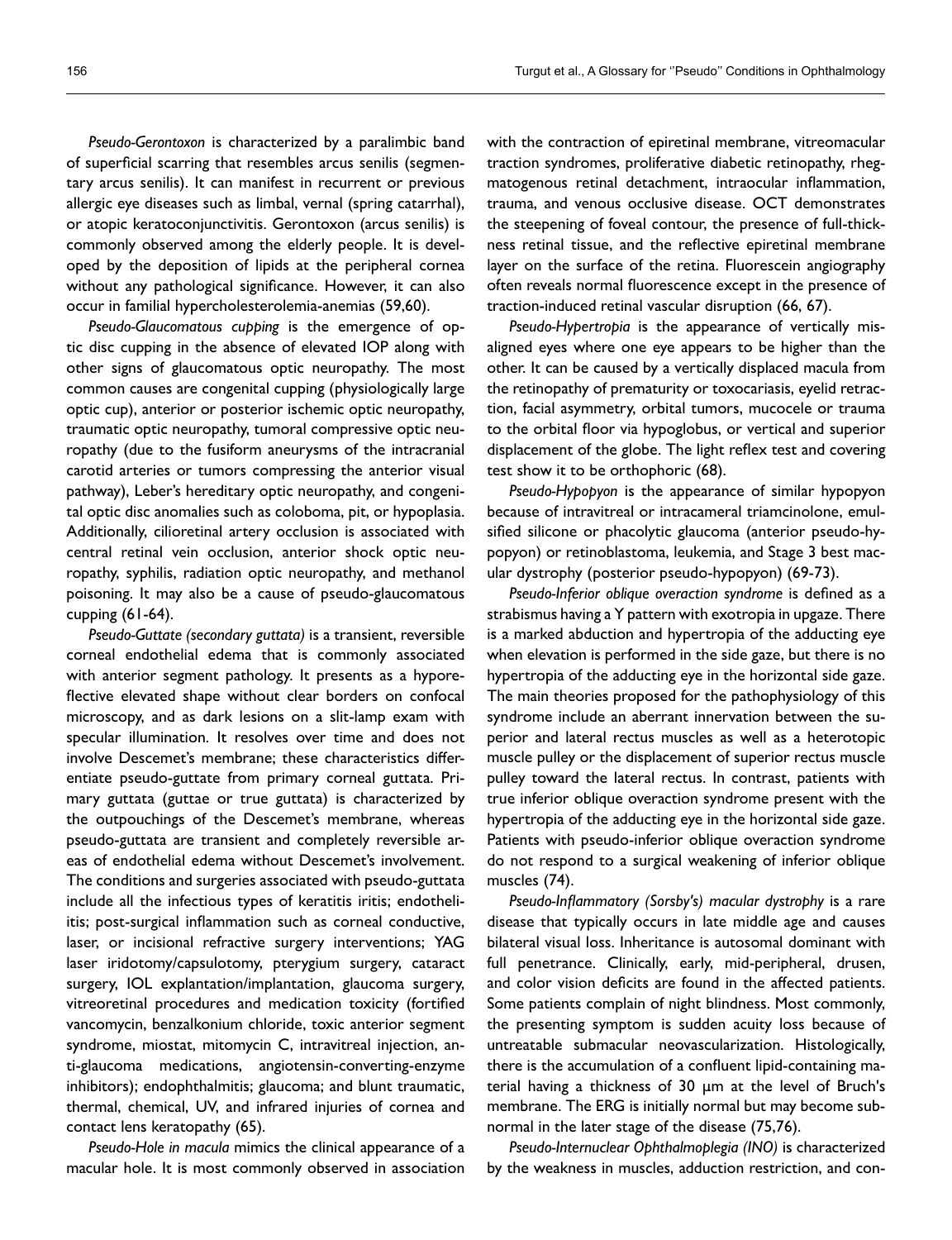*Pseudo-Gerontoxon* is characterized by a paralimbic band of superficial scarring that resembles arcus senilis (segmentary arcus senilis). It can manifest in recurrent or previous allergic eye diseases such as limbal, vernal (spring catarrhal), or atopic keratoconjunctivitis. Gerontoxon (arcus senilis) is commonly observed among the elderly people. It is developed by the deposition of lipids at the peripheral cornea without any pathological significance. However, it can also occur in familial hypercholesterolemia-anemias (59,60).

*Pseudo-Glaucomatous cupping* is the emergence of optic disc cupping in the absence of elevated IOP along with other signs of glaucomatous optic neuropathy. The most common causes are congenital cupping (physiologically large optic cup), anterior or posterior ischemic optic neuropathy, traumatic optic neuropathy, tumoral compressive optic neuropathy (due to the fusiform aneurysms of the intracranial carotid arteries or tumors compressing the anterior visual pathway), Leber's hereditary optic neuropathy, and congenital optic disc anomalies such as coloboma, pit, or hypoplasia. Additionally, cilioretinal artery occlusion is associated with central retinal vein occlusion, anterior shock optic neuropathy, syphilis, radiation optic neuropathy, and methanol poisoning. It may also be a cause of pseudo-glaucomatous cupping (61-64).

*Pseudo-Guttate (secondary guttata)* is a transient, reversible corneal endothelial edema that is commonly associated with anterior segment pathology. It presents as a hyporeflective elevated shape without clear borders on confocal microscopy, and as dark lesions on a slit-lamp exam with specular illumination. It resolves over time and does not involve Descemet's membrane; these characteristics differentiate pseudo-guttate from primary corneal guttata. Primary guttata (guttae or true guttata) is characterized by the outpouchings of the Descemet's membrane, whereas pseudo-guttata are transient and completely reversible areas of endothelial edema without Descemet's involvement. The conditions and surgeries associated with pseudo-guttata include all the infectious types of keratitis iritis; endotheliitis; post-surgical inflammation such as corneal conductive, laser, or incisional refractive surgery interventions; YAG laser iridotomy/capsulotomy, pterygium surgery, cataract surgery, IOL explantation/implantation, glaucoma surgery, vitreoretinal procedures and medication toxicity (fortified vancomycin, benzalkonium chloride, toxic anterior segment syndrome, miostat, mitomycin C, intravitreal injection, anti-glaucoma medications, angiotensin-converting-enzyme inhibitors); endophthalmitis; glaucoma; and blunt traumatic, thermal, chemical, UV, and infrared injuries of cornea and contact lens keratopathy (65).

*Pseudo-Hole in macula* mimics the clinical appearance of a macular hole. It is most commonly observed in association with the contraction of epiretinal membrane, vitreomacular traction syndromes, proliferative diabetic retinopathy, rhegmatogenous retinal detachment, intraocular inflammation, trauma, and venous occlusive disease. OCT demonstrates the steepening of foveal contour, the presence of full-thickness retinal tissue, and the reflective epiretinal membrane layer on the surface of the retina. Fluorescein angiography often reveals normal fluorescence except in the presence of traction-induced retinal vascular disruption (66, 67).

*Pseudo-Hypertropia* is the appearance of vertically misaligned eyes where one eye appears to be higher than the other. It can be caused by a vertically displaced macula from the retinopathy of prematurity or toxocariasis, eyelid retraction, facial asymmetry, orbital tumors, mucocele or trauma to the orbital floor via hypoglobus, or vertical and superior displacement of the globe. The light reflex test and covering test show it to be orthophoric (68).

*Pseudo-Hypopyon* is the appearance of similar hypopyon because of intravitreal or intracameral triamcinolone, emulsified silicone or phacolytic glaucoma (anterior pseudo-hypopyon) or retinoblastoma, leukemia, and Stage 3 best macular dystrophy (posterior pseudo-hypopyon) (69-73).

*Pseudo-Inferior oblique overaction syndrome* is defined as a strabismus having a Y pattern with exotropia in upgaze. There is a marked abduction and hypertropia of the adducting eye when elevation is performed in the side gaze, but there is no hypertropia of the adducting eye in the horizontal side gaze. The main theories proposed for the pathophysiology of this syndrome include an aberrant innervation between the superior and lateral rectus muscles as well as a heterotopic muscle pulley or the displacement of superior rectus muscle pulley toward the lateral rectus. In contrast, patients with true inferior oblique overaction syndrome present with the hypertropia of the adducting eye in the horizontal side gaze. Patients with pseudo-inferior oblique overaction syndrome do not respond to a surgical weakening of inferior oblique muscles (74).

*Pseudo-Inflammatory (Sorsby's) macular dystrophy* is a rare disease that typically occurs in late middle age and causes bilateral visual loss. Inheritance is autosomal dominant with full penetrance. Clinically, early, mid-peripheral, drusen, and color vision deficits are found in the affected patients. Some patients complain of night blindness. Most commonly, the presenting symptom is sudden acuity loss because of untreatable submacular neovascularization. Histologically, there is the accumulation of a confluent lipid-containing material having a thickness of 30 μm at the level of Bruch's membrane. The ERG is initially normal but may become subnormal in the later stage of the disease (75,76).

*Pseudo-Internuclear Ophthalmoplegia (INO)* is characterized by the weakness in muscles, adduction restriction, and con-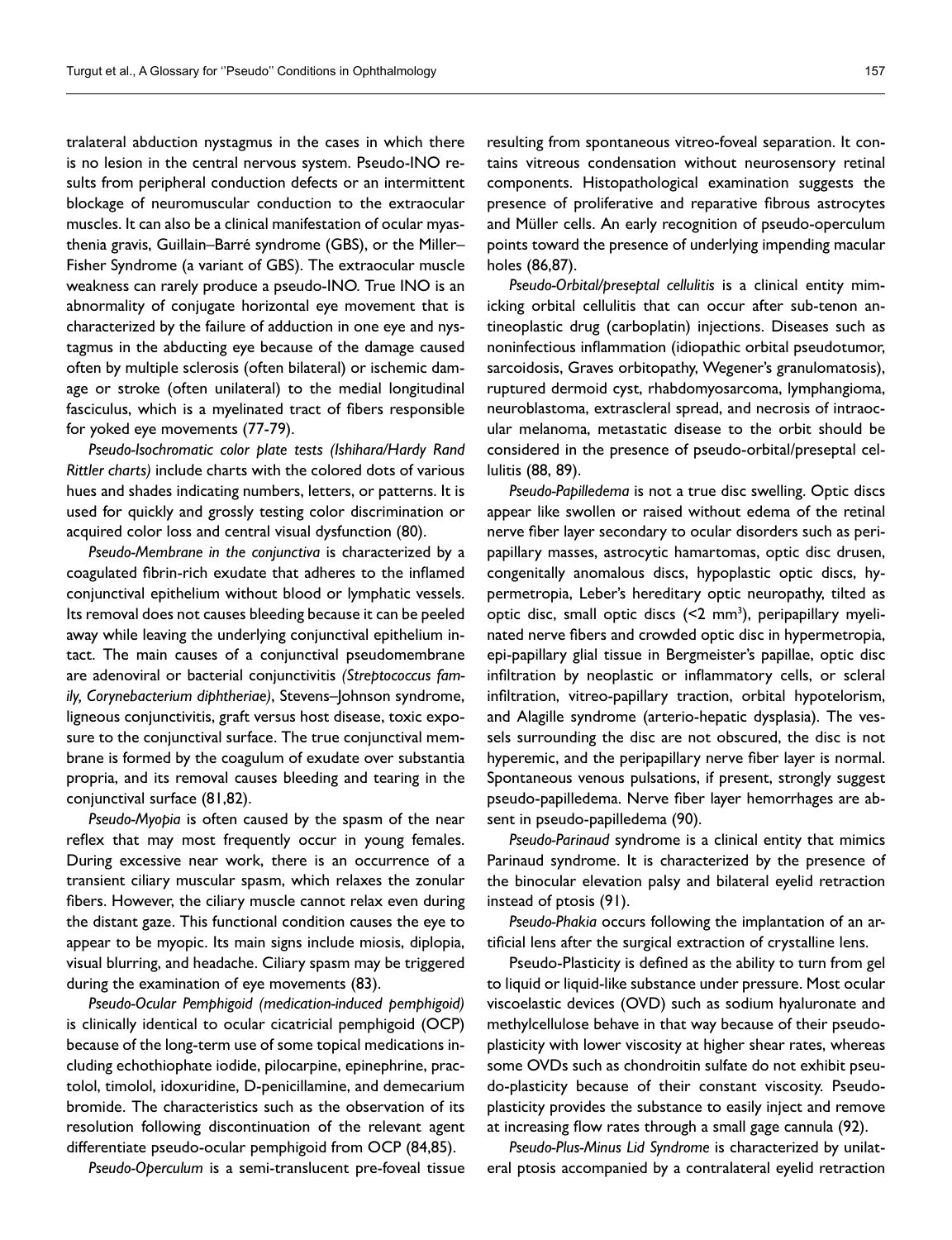tralateral abduction nystagmus in the cases in which there is no lesion in the central nervous system. Pseudo-INO results from peripheral conduction defects or an intermittent blockage of neuromuscular conduction to the extraocular muscles. It can also be a clinical manifestation of ocular myasthenia gravis, Guillain–Barré syndrome (GBS), or the Miller– Fisher Syndrome (a variant of GBS). The extraocular muscle weakness can rarely produce a pseudo-INO. True INO is an abnormality of conjugate horizontal eye movement that is characterized by the failure of adduction in one eye and nystagmus in the abducting eye because of the damage caused often by multiple sclerosis (often bilateral) or ischemic damage or stroke (often unilateral) to the medial longitudinal fasciculus, which is a myelinated tract of fibers responsible for yoked eye movements (77-79).

*Pseudo-Isochromatic color plate tests (Ishihara/Hardy Rand Rittler charts)* include charts with the colored dots of various hues and shades indicating numbers, letters, or patterns. It is used for quickly and grossly testing color discrimination or acquired color loss and central visual dysfunction (80).

*Pseudo-Membrane in the conjunctiva* is characterized by a coagulated fibrin-rich exudate that adheres to the inflamed conjunctival epithelium without blood or lymphatic vessels. Its removal does not causes bleeding because it can be peeled away while leaving the underlying conjunctival epithelium intact. The main causes of a conjunctival pseudomembrane are adenoviral or bacterial conjunctivitis *(Streptococcus family, Corynebacterium diphtheriae)*, Stevens–Johnson syndrome, ligneous conjunctivitis, graft versus host disease, toxic exposure to the conjunctival surface. The true conjunctival membrane is formed by the coagulum of exudate over substantia propria, and its removal causes bleeding and tearing in the conjunctival surface (81,82).

*Pseudo-Myopia* is often caused by the spasm of the near reflex that may most frequently occur in young females. During excessive near work, there is an occurrence of a transient ciliary muscular spasm, which relaxes the zonular fibers. However, the ciliary muscle cannot relax even during the distant gaze. This functional condition causes the eye to appear to be myopic. Its main signs include miosis, diplopia, visual blurring, and headache. Ciliary spasm may be triggered during the examination of eye movements (83).

*Pseudo-Ocular Pemphigoid (medication-induced pemphigoid)* is clinically identical to ocular cicatricial pemphigoid (OCP) because of the long-term use of some topical medications including echothiophate iodide, pilocarpine, epinephrine, practolol, timolol, idoxuridine, D-penicillamine, and demecarium bromide. The characteristics such as the observation of its resolution following discontinuation of the relevant agent differentiate pseudo-ocular pemphigoid from OCP (84,85).

*Pseudo-Operculum* is a semi-translucent pre-foveal tissue

resulting from spontaneous vitreo-foveal separation. It contains vitreous condensation without neurosensory retinal components. Histopathological examination suggests the presence of proliferative and reparative fibrous astrocytes and Müller cells. An early recognition of pseudo-operculum points toward the presence of underlying impending macular holes (86,87).

*Pseudo-Orbital/preseptal cellulitis* is a clinical entity mimicking orbital cellulitis that can occur after sub-tenon antineoplastic drug (carboplatin) injections. Diseases such as noninfectious inflammation (idiopathic orbital pseudotumor, sarcoidosis, Graves orbitopathy, Wegener's granulomatosis), ruptured dermoid cyst, rhabdomyosarcoma, lymphangioma, neuroblastoma, extrascleral spread, and necrosis of intraocular melanoma, metastatic disease to the orbit should be considered in the presence of pseudo-orbital/preseptal cellulitis (88, 89).

*Pseudo-Papilledema* is not a true disc swelling. Optic discs appear like swollen or raised without edema of the retinal nerve fiber layer secondary to ocular disorders such as peripapillary masses, astrocytic hamartomas, optic disc drusen, congenitally anomalous discs, hypoplastic optic discs, hypermetropia, Leber's hereditary optic neuropathy, tilted as optic disc, small optic discs (<2 mm<sup>3</sup>), peripapillary myelinated nerve fibers and crowded optic disc in hypermetropia, epi-papillary glial tissue in Bergmeister's papillae, optic disc infiltration by neoplastic or inflammatory cells, or scleral infiltration, vitreo-papillary traction, orbital hypotelorism, and Alagille syndrome (arterio-hepatic dysplasia). The vessels surrounding the disc are not obscured, the disc is not hyperemic, and the peripapillary nerve fiber layer is normal. Spontaneous venous pulsations, if present, strongly suggest pseudo-papilledema. Nerve fiber layer hemorrhages are absent in pseudo-papilledema (90).

*Pseudo-Parinaud* syndrome is a clinical entity that mimics Parinaud syndrome. It is characterized by the presence of the binocular elevation palsy and bilateral eyelid retraction instead of ptosis (91).

*Pseudo-Phakia* occurs following the implantation of an artificial lens after the surgical extraction of crystalline lens.

Pseudo-Plasticity is defined as the ability to turn from gel to liquid or liquid-like substance under pressure. Most ocular viscoelastic devices (OVD) such as sodium hyaluronate and methylcellulose behave in that way because of their pseudoplasticity with lower viscosity at higher shear rates, whereas some OVDs such as chondroitin sulfate do not exhibit pseudo-plasticity because of their constant viscosity. Pseudoplasticity provides the substance to easily inject and remove at increasing flow rates through a small gage cannula (92).

*Pseudo-Plus-Minus Lid Syndrome* is characterized by unilateral ptosis accompanied by a contralateral eyelid retraction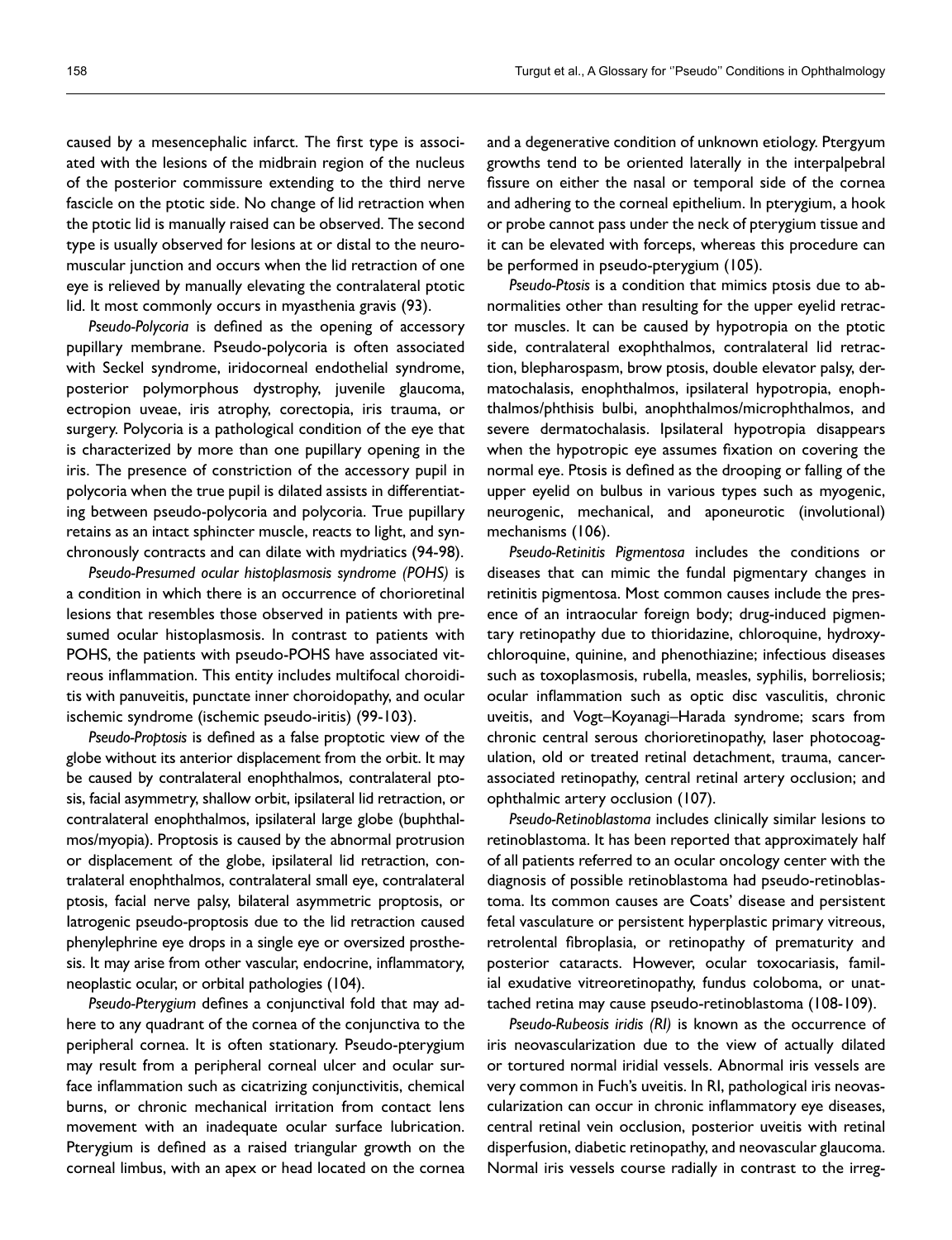caused by a mesencephalic infarct. The first type is associated with the lesions of the midbrain region of the nucleus of the posterior commissure extending to the third nerve fascicle on the ptotic side. No change of lid retraction when the ptotic lid is manually raised can be observed. The second type is usually observed for lesions at or distal to the neuromuscular junction and occurs when the lid retraction of one eye is relieved by manually elevating the contralateral ptotic lid. It most commonly occurs in myasthenia gravis (93).

*Pseudo-Polycoria* is defined as the opening of accessory pupillary membrane. Pseudo-polycoria is often associated with Seckel syndrome, iridocorneal endothelial syndrome, posterior polymorphous dystrophy, juvenile glaucoma, ectropion uveae, iris atrophy, corectopia, iris trauma, or surgery. Polycoria is a pathological condition of the eye that is characterized by more than one pupillary opening in the iris. The presence of constriction of the accessory pupil in polycoria when the true pupil is dilated assists in differentiating between pseudo-polycoria and polycoria. True pupillary retains as an intact sphincter muscle, reacts to light, and synchronously contracts and can dilate with mydriatics (94-98).

*Pseudo-Presumed ocular histoplasmosis syndrome (POHS)* is a condition in which there is an occurrence of chorioretinal lesions that resembles those observed in patients with presumed ocular histoplasmosis. In contrast to patients with POHS, the patients with pseudo-POHS have associated vitreous inflammation. This entity includes multifocal choroiditis with panuveitis, punctate inner choroidopathy, and ocular ischemic syndrome (ischemic pseudo-iritis) (99-103).

*Pseudo-Proptosis* is defined as a false proptotic view of the globe without its anterior displacement from the orbit. It may be caused by contralateral enophthalmos, contralateral ptosis, facial asymmetry, shallow orbit, ipsilateral lid retraction, or contralateral enophthalmos, ipsilateral large globe (buphthalmos/myopia). Proptosis is caused by the abnormal protrusion or displacement of the globe, ipsilateral lid retraction, contralateral enophthalmos, contralateral small eye, contralateral ptosis, facial nerve palsy, bilateral asymmetric proptosis, or Iatrogenic pseudo-proptosis due to the lid retraction caused phenylephrine eye drops in a single eye or oversized prosthesis. It may arise from other vascular, endocrine, inflammatory, neoplastic ocular, or orbital pathologies (104).

*Pseudo-Pterygium* defines a conjunctival fold that may adhere to any quadrant of the cornea of the conjunctiva to the peripheral cornea. It is often stationary. Pseudo-pterygium may result from a peripheral corneal ulcer and ocular surface inflammation such as cicatrizing conjunctivitis, chemical burns, or chronic mechanical irritation from contact lens movement with an inadequate ocular surface lubrication. Pterygium is defined as a raised triangular growth on the corneal limbus, with an apex or head located on the cornea

and a degenerative condition of unknown etiology. Ptergyum growths tend to be oriented laterally in the interpalpebral fissure on either the nasal or temporal side of the cornea and adhering to the corneal epithelium. In pterygium, a hook or probe cannot pass under the neck of pterygium tissue and it can be elevated with forceps, whereas this procedure can be performed in pseudo-pterygium (105).

*Pseudo-Ptosis* is a condition that mimics ptosis due to abnormalities other than resulting for the upper eyelid retractor muscles. It can be caused by hypotropia on the ptotic side, contralateral exophthalmos, contralateral lid retraction, blepharospasm, brow ptosis, double elevator palsy, dermatochalasis, enophthalmos, ipsilateral hypotropia, enophthalmos/phthisis bulbi, anophthalmos/microphthalmos, and severe dermatochalasis. Ipsilateral hypotropia disappears when the hypotropic eye assumes fixation on covering the normal eye. Ptosis is defined as the drooping or falling of the upper eyelid on bulbus in various types such as myogenic, neurogenic, mechanical, and aponeurotic (involutional) mechanisms (106).

*Pseudo-Retinitis Pigmentosa* includes the conditions or diseases that can mimic the fundal pigmentary changes in retinitis pigmentosa. Most common causes include the presence of an intraocular foreign body; drug-induced pigmentary retinopathy due to thioridazine, chloroquine, hydroxychloroquine, quinine, and phenothiazine; infectious diseases such as toxoplasmosis, rubella, measles, syphilis, borreliosis; ocular inflammation such as optic disc vasculitis, chronic uveitis, and Vogt–Koyanagi–Harada syndrome; scars from chronic central serous chorioretinopathy, laser photocoagulation, old or treated retinal detachment, trauma, cancerassociated retinopathy, central retinal artery occlusion; and ophthalmic artery occlusion (107).

*Pseudo-Retinoblastoma* includes clinically similar lesions to retinoblastoma. It has been reported that approximately half of all patients referred to an ocular oncology center with the diagnosis of possible retinoblastoma had pseudo-retinoblastoma. Its common causes are Coats' disease and persistent fetal vasculature or persistent hyperplastic primary vitreous, retrolental fibroplasia, or retinopathy of prematurity and posterior cataracts. However, ocular toxocariasis, familial exudative vitreoretinopathy, fundus coloboma, or unattached retina may cause pseudo-retinoblastoma (108-109).

*Pseudo-Rubeosis iridis (RI)* is known as the occurrence of iris neovascularization due to the view of actually dilated or tortured normal iridial vessels. Abnormal iris vessels are very common in Fuch's uveitis. In RI, pathological iris neovascularization can occur in chronic inflammatory eye diseases, central retinal vein occlusion, posterior uveitis with retinal disperfusion, diabetic retinopathy, and neovascular glaucoma. Normal iris vessels course radially in contrast to the irreg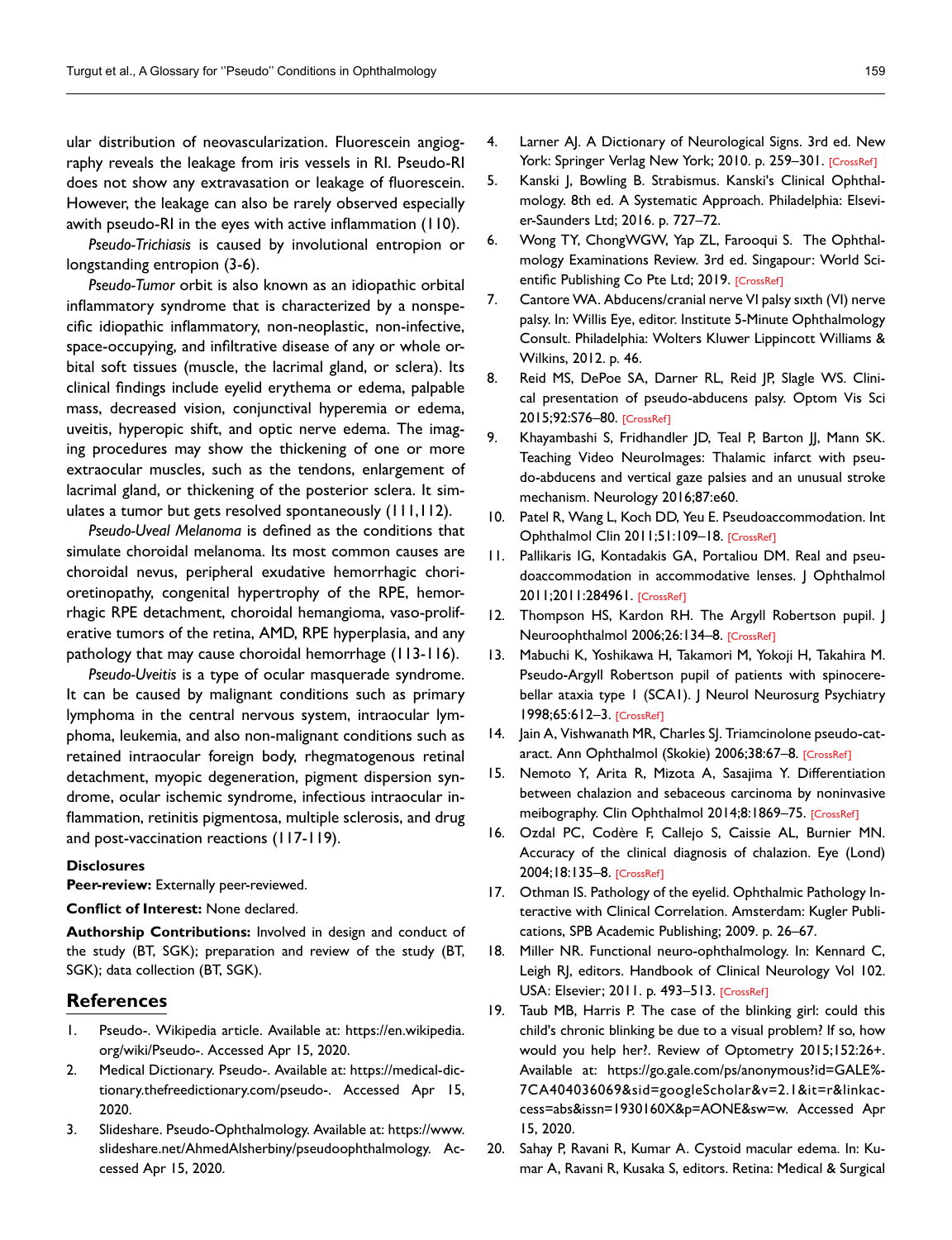ular distribution of neovascularization. Fluorescein angiography reveals the leakage from iris vessels in RI. Pseudo-RI does not show any extravasation or leakage of fluorescein. However, the leakage can also be rarely observed especially awith pseudo-RI in the eyes with active inflammation (110).

*Pseudo-Trichiasis* is caused by involutional entropion or longstanding entropion (3-6).

*Pseudo-Tumor* orbit is also known as an idiopathic orbital inflammatory syndrome that is characterized by a nonspecific idiopathic inflammatory, non-neoplastic, non-infective, space-occupying, and infiltrative disease of any or whole orbital soft tissues (muscle, the lacrimal gland, or sclera). Its clinical findings include eyelid erythema or edema, palpable mass, decreased vision, conjunctival hyperemia or edema, uveitis, hyperopic shift, and optic nerve edema. The imaging procedures may show the thickening of one or more extraocular muscles, such as the tendons, enlargement of lacrimal gland, or thickening of the posterior sclera. It simulates a tumor but gets resolved spontaneously (111,112).

*Pseudo-Uveal Melanoma* is defined as the conditions that simulate choroidal melanoma. Its most common causes are choroidal nevus, peripheral exudative hemorrhagic chorioretinopathy, congenital hypertrophy of the RPE, hemorrhagic RPE detachment, choroidal hemangioma, vaso-proliferative tumors of the retina, AMD, RPE hyperplasia, and any pathology that may cause choroidal hemorrhage (113-116).

*Pseudo-Uveitis* is a type of ocular masquerade syndrome. It can be caused by malignant conditions such as primary lymphoma in the central nervous system, intraocular lymphoma, leukemia, and also non-malignant conditions such as retained intraocular foreign body, rhegmatogenous retinal detachment, myopic degeneration, pigment dispersion syndrome, ocular ischemic syndrome, infectious intraocular inflammation, retinitis pigmentosa, multiple sclerosis, and drug and post-vaccination reactions (117-119).

#### **Disclosures**

**Peer-review:** Externally peer-reviewed.

**Conflict of Interest:** None declared.

**Authorship Contributions:** Involved in design and conduct of the study (BT, SGK); preparation and review of the study (BT, SGK); data collection (BT, SGK).

## **References**

- 1. Pseudo-. Wikipedia article. Available at: https://en.wikipedia. org/wiki/Pseudo-. Accessed Apr 15, 2020.
- 2. Medical Dictionary. Pseudo-. Available at: https://medical-dictionary.thefreedictionary.com/pseudo-. Accessed Apr 15, 2020.
- 3. Slideshare. Pseudo-Ophthalmology. Available at: https://www. slideshare.net/AhmedAlsherbiny/pseudoophthalmology. Accessed Apr 15, 2020.
- 4. Larner AJ. A Dictionary of Neurological Signs. 3rd ed. New York: Springer Verlag New York; 2010. p. 259-3[01. \[CrossRef\]](https://doi.org/10.1007/978-1-4419-7095-4_16)
- 5. Kanski J, Bowling B. Strabismus. Kanski's Clinical Ophthalmology. 8th ed. A Systematic Approach. Philadelphia: Elsevier-Saunders Ltd; 2016. p. 727–72.
- 6. Wong TY, ChongWGW, Yap ZL, Farooqui S. The Ophthalmology Examinations Review. 3rd ed. Singapour: World Sci-entific Publishing Co Pte Ltd; 2[019. \[CrossRef\]](https://doi.org/10.1142/10474)
- 7. Cantore WA. Abducens/cranial nerve VI palsy sıxth (VI) nerve palsy. In: Willis Eye, editor. Institute 5-Minute Ophthalmology Consult. Philadelphia: Wolters Kluwer Lippincott Williams & Wilkins, 2012. p. 46.
- 8. Reid MS, DePoe SA, Darner RL, Reid JP, Slagle WS. Clinical presentation of pseudo-abducens palsy. Optom Vis Sci 2015;92:S76–80[. \[CrossRef\]](https://doi.org/10.1097/OPX.0000000000000529)
- 9. Khayambashi S, Fridhandler JD, Teal P, Barton JJ, Mann SK. Teaching Video NeuroImages: Thalamic infarct with pseudo-abducens and vertical gaze palsies and an unusual stroke mechanism. Neurology 2016;87:e60.
- 10. Patel R, Wang L, Koch DD, Yeu E. Pseudoaccommodation. Int Ophthalmol Clin 2011;51:109-18. [CrossRef]
- 11. Pallikaris IG, Kontadakis GA, Portaliou DM. Real and pseudoaccommodation in accommodative lenses. J Ophthalmol 2011;2011:28496[1. \[CrossRef\]](https://doi.org/10.1155/2011/284961)
- 12. Thompson HS, Kardon RH. The Argyll Robertson pupil. J Neuroophthalmol 2006;26:134[–8. \[CrossRef\]](https://doi.org/10.1097/01.wno.0000222971.09745.91)
- 13. Mabuchi K, Yoshikawa H, Takamori M, Yokoji H, Takahira M. Pseudo-Argyll Robertson pupil of patients with spinocerebellar ataxia type I (SCAI). J Neurol Neurosurg Psychiatry 1998;65:612–3. [CrossRef]
- 14. Jain A, Vishwanath MR, Charles SJ. Triamcinolone pseudo-cataract. Ann Ophthalmol (Skokie) 2006;38:67[–8. \[CrossRef\]](https://doi.org/10.1385/AO:38:1:67)
- 15. Nemoto Y, Arita R, Mizota A, Sasajima Y. Differentiation between chalazion and sebaceous carcinoma by noninvasive meibography. Clin Ophthalmol 2014;8:1869-[75. \[CrossRef\]](https://doi.org/10.2147/OPTH.S69804)
- 16. Ozdal PC, Codère F, Callejo S, Caissie AL, Burnier MN. Accuracy of the clinical diagnosis of chalazion. Eye (Lond) 2004;18:13[5–8. \[CrossRef\]](https://doi.org/10.1038/sj.eye.6700603)
- 17. Othman IS. Pathology of the eyelid. Ophthalmic Pathology Interactive with Clinical Correlation. Amsterdam: Kugler Publications, SPB Academic Publishing; 2009. p. 26–67.
- 18. Miller NR. Functional neuro-ophthalmology. In: Kennard C, Leigh RJ, editors. Handbook of Clinical Neurology Vol 102. USA: Elsevier; 2011. p. 493–[513. \[CrossRef\]](https://doi.org/10.1016/B978-0-444-52903-9.00024-8)
- 19. Taub MB, Harris P. The case of the blinking girl: could this child's chronic blinking be due to a visual problem? If so, how would you help her?. Review of Optometry 2015;152:26+. Available at: https://go.gale.com/ps/anonymous?id=GALE%- 7CA404036069&sid=googleScholar&v=2.1&it=r&linkaccess=abs&issn=1930160X&p=AONE&sw=w. Accessed Apr 15, 2020.
- 20. Sahay P, Ravani R, Kumar A. Cystoid macular edema. In: Kumar A, Ravani R, Kusaka S, editors. Retina: Medical & Surgical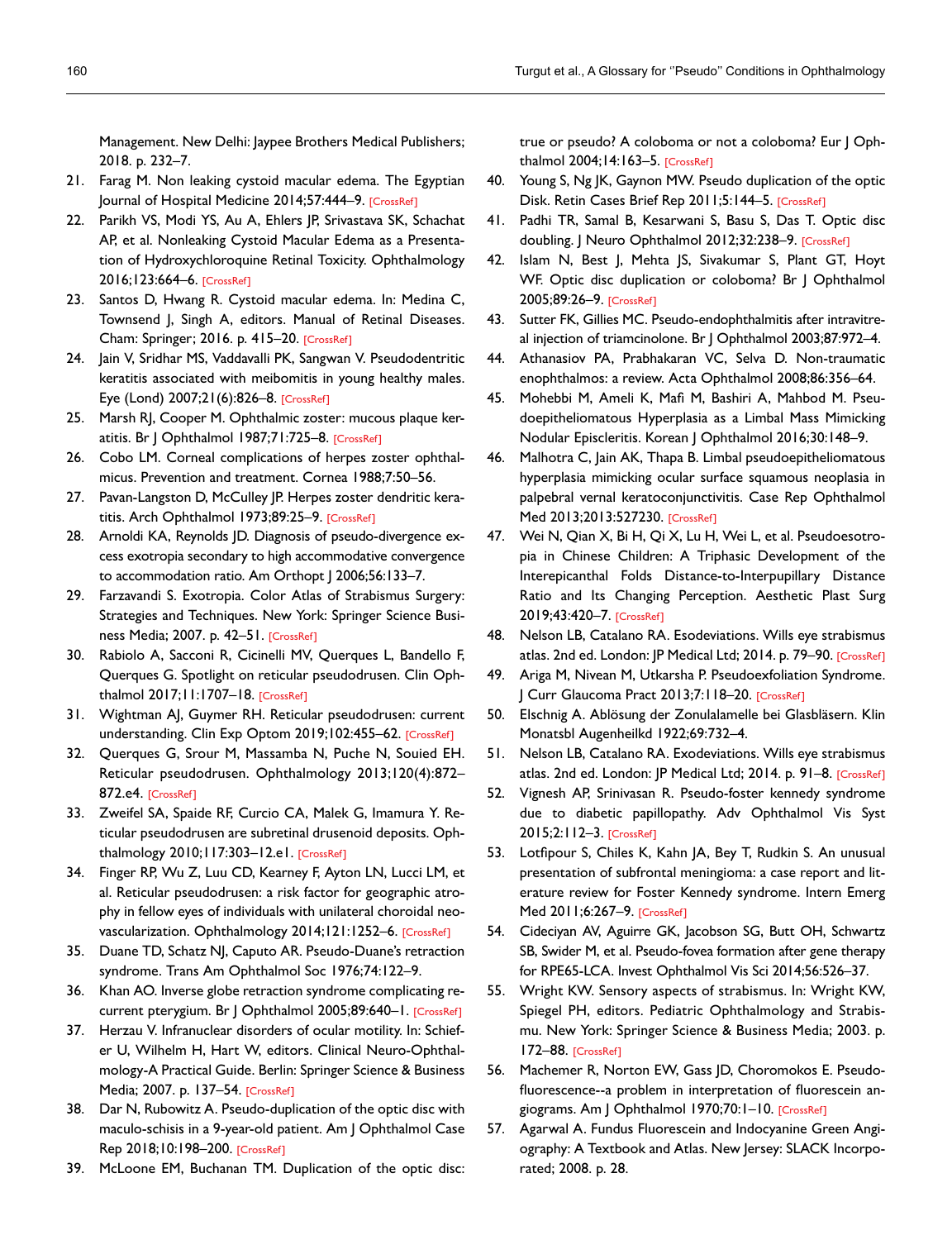Management. New Delhi: Jaypee Brothers Medical Publishers; 2018. p. 232–7.

- 21. Farag M. Non leaking cystoid macular edema. The Egyptian Journal of Hospital Medicine 2014;57:444-9[. \[CrossRef\]](https://doi.org/10.12816/0008479)
- 22. Parikh VS, Modi YS, Au A, Ehlers JP, Srivastava SK, Schachat AP, et al. Nonleaking Cystoid Macular Edema as a Presentation of Hydroxychloroquine Retinal Toxicity. Ophthalmology 2016;123:6[64–6. \[CrossRef\]](https://doi.org/10.1016/j.ophtha.2015.09.011)
- 23. Santos D, Hwang R. Cystoid macular edema. In: Medina C, Townsend J, Singh A, editors. Manual of Retinal Diseases. Cham: Springer; 2016. p. 415–2[0. \[CrossRef\]](https://doi.org/10.1007/978-3-319-20460-4_83)
- 24. Jain V, Sridhar MS, Vaddavalli PK, Sangwan V. Pseudodentritic keratitis associated with meibomitis in young healthy males. Eye (Lond) 2007;21(6):826–[8. \[CrossRef\]](https://doi.org/10.1038/sj.eye.6702373)
- 25. Marsh RJ, Cooper M. Ophthalmic zoster: mucous plaque keratitis. Br J Ophthalmol 1987;71:725-8. [CrossRef]
- 26. Cobo LM. Corneal complications of herpes zoster ophthalmicus. Prevention and treatm[ent. Cornea 1988;7:50–56.](https://doi.org/10.1097/00003226-198801000-00007)
- 27. Pavan-Langston D, McCulley JP. Herpes zoster dendritic keratitis. Arch Ophthalmol 1973;89:25-9. [CrossRef]
- 28. Arnoldi KA, Reynolds JD. Diagnosis of pseudo-divergence excess exotropia secondary to high accommodative convergence to accommodation ratio. Am Orthopt | 2006;56:133-7.
- 29. Farzavandi S. Exotropia. Color Atlas of Strabismus Surgery: Strategies and Techniques. New York: Springer Science Business Media; 2007. p. 42[–51. \[CrossRef\]](https://doi.org/10.1007/978-0-387-68625-7)
- 30. Rabiolo A, Sacconi R, Cicinelli MV, Querques L, Bandello F, Querques G. Spotlight on reticular pseudodrusen. Clin Ophthalmol 2017;11:1707–[18. \[CrossRef\]](https://doi.org/10.2147/OPTH.S130165)
- 31. Wightman AJ, Guymer RH. Reticular pseudodrusen: current understanding. Clin Exp Optom 2019;102:455-[62. \[CrossRef\]](https://doi.org/10.1111/cxo.12842)
- 32. Querques G, Srour M, Massamba N, Puche N, Souied EH. Reticular pseudodrusen. Ophthalmology 2013;120(4):872– 872[.e4. \[CrossRef\]](https://doi.org/10.1016/j.ophtha.2012.12.007)
- 33. Zweifel SA, Spaide RF, Curcio CA, Malek G, Imamura Y. Reticular pseudodrusen are subretinal drusenoid deposits. Ophthalmology 2010;117:303–12.[e1. \[CrossRef\]](https://doi.org/10.1016/j.ophtha.2009.07.014)
- 34. Finger RP, Wu Z, Luu CD, Kearney F, Ayton LN, Lucci LM, et al. Reticular pseudodrusen: a risk factor for geographic atrophy in fellow eyes of individuals with unilateral choroidal neovascularization. Ophthalmology 2014;121:12[52–6. \[CrossRef\]](https://doi.org/10.1016/j.ophtha.2013.12.034)
- 35. Duane TD, Schatz NJ, Caputo AR. Pseudo-Duane's retraction syndrome. Trans Am Ophthalmol Soc 1976;74:122–9.
- 36. Khan AO. Inverse globe retraction syndrome complicating re-current pterygium. Br | Ophthalmol 2005;89:640-[1. \[CrossRef\]](https://doi.org/10.1136/bjo.2004.053850)
- 37. Herzau V. Infranuclear disorders of ocular motility. In: Schiefer U, Wilhelm H, Hart W, editors. Clinical Neuro-Ophthalmology-A Practical Guide. Berlin: Springer Science & Business Media; 2007. p. 137–[54. \[CrossRef\]](https://doi.org/10.1007/978-3-540-32708-0_10)
- 38. Dar N, Rubowitz A. Pseudo-duplication of the optic disc with maculo-schisis in a 9-year-old patient. Am J Ophthalmol Case Rep 2018;10:198–2[00. \[CrossRef\]](https://doi.org/10.1016/j.ajoc.2018.03.008)
- 39. McLoone EM, Buchanan TM. Duplication of the optic disc:

true or pseudo? A coloboma or not a coloboma? Eur | Ophthalmol 2004;14:163–[5. \[CrossRef\]](https://doi.org/10.1177/112067210401400215)

- 40. Young S, Ng JK, Gaynon MW. Pseudo duplication of the optic Disk. Retin Cases Brief Rep 2011;5:144-5. [CrossRef]
- 41. Padhi TR, Samal B, Kesarwani S, Basu S, Das T. Optic disc doubling. J Neuro Ophthalmol 2012;32:238-9. [\[CrossRef\]](https://doi.org/10.1097/WNO.0b013e3182464d9f)
- 42. Islam N, Best J, Mehta JS, Sivakumar S, Plant GT, Hoyt WF. Optic disc duplication or coloboma? Br J Ophthalmol 2005;89:26–[9. \[CrossRef\]](https://doi.org/10.1136/bjo.2004.049122)
- 43. Sutter FK, Gillies MC. Pseudo-endophthalmitis after intravitreal injection of triamcinol[one. Br J Ophthalmol 2003;87:972–4.](https://doi.org/10.1136/bjo.87.8.972)
- 44. Athanasiov PA, Prabhakaran VC, Selva D. Non-traumatic enophthalmos: a review[. Acta Ophthalmol 2008;86:356–64.](https://doi.org/10.1111/j.1755-3768.2007.01152.x)
- 45. Mohebbi M, Ameli K, Mafi M, Bashiri A, Mahbod M. Pseudoepitheliomatous Hyperplasia as a Limbal Mass Mimicking Nodular Episcleri[tis. Korean J Ophthalmol 2016;30:148–9.](https://doi.org/10.3341/kjo.2016.30.2.148)
- 46. Malhotra C, Jain AK, Thapa B. Limbal pseudoepitheliomatous hyperplasia mimicking ocular surface squamous neoplasia in palpebral vernal keratoconjunctivitis. Case Rep Ophthalmol Med 2013;2013:[527230. \[CrossRef\]](https://doi.org/10.1155/2013/527230)
- 47. Wei N, Qian X, Bi H, Qi X, Lu H, Wei L, et al. Pseudoesotropia in Chinese Children: A Triphasic Development of the Interepicanthal Folds Distance-to-Interpupillary Distance Ratio and Its Changing Perception. Aesthetic Plast Surg 2019;43:4[20–7. \[CrossRef\]](https://doi.org/10.1007/s00266-018-1298-4)
- 48. Nelson LB, Catalano RA. Esodeviations. Wills eye strabismus atlas. 2nd ed. London: JP Medical Ltd; 2014. p. 79–9[0. \[CrossRef\]](https://doi.org/10.5005/jp/books/12345_8)
- 49. Ariga M, Nivean M, Utkarsha P. Pseudoexfoliation Syndrome. J Curr Glaucoma Pract 2013;7:118[–20. \[CrossRef\]](https://doi.org/10.5005/jp-journals-10008-1148)
- 50. Elschnig A. Ablösung der Zonulalamelle bei Glasbläsern. Klin Monatsbl Augenheilkd 1922;69:732–4.
- 51. Nelson LB, Catalano RA. Exodeviations. Wills eye strabismus atlas. 2nd ed. London: JP Medical Ltd; 2014. p. 91-8. [CrossRef]
- 52. Vignesh AP, Srinivasan R. Pseudo-foster kennedy syndrome due to diabetic papillopathy. Adv Ophthalmol Vis Syst 2015;2:112–[3. \[CrossRef\]](https://doi.org/10.15406/aovs.2015.02.00050)
- 53. Lotfipour S, Chiles K, Kahn JA, Bey T, Rudkin S. An unusual presentation of subfrontal meningioma: a case report and literature review for Foster Kennedy syndrome. Intern Emerg Med 2011;6:2[67–9. \[CrossRef\]](https://doi.org/10.1007/s11739-010-0437-y)
- 54. Cideciyan AV, Aguirre GK, Jacobson SG, Butt OH, Schwartz SB, Swider M, et al. Pseudo-fovea formation after gene therapy for RPE65-[LCA. Invest Ophthalmol Vis Sci 2014;56:526–37.](https://doi.org/10.1167/iovs.14-15895)
- 55. Wright KW. Sensory aspects of strabismus. In: Wright KW, Spiegel PH, editors. Pediatric Ophthalmology and Strabismu. New York: Springer Science & Business Media; 2003. p. 172–8[8. \[CrossRef\]](https://doi.org/10.1007/978-0-387-21753-6_11)
- 56. Machemer R, Norton EW, Gass JD, Choromokos E. Pseudofluorescence--a problem in interpretation of fluorescein angiograms. Am J Ophthalmol 1970;70:1–1[0. \[CrossRef\]](https://doi.org/10.1016/0002-9394(70)90658-6)
- 57. Agarwal A. Fundus Fluorescein and Indocyanine Green Angiography: A Textbook and Atlas. New Jersey: SLACK Incorporated; 2008. p. 28.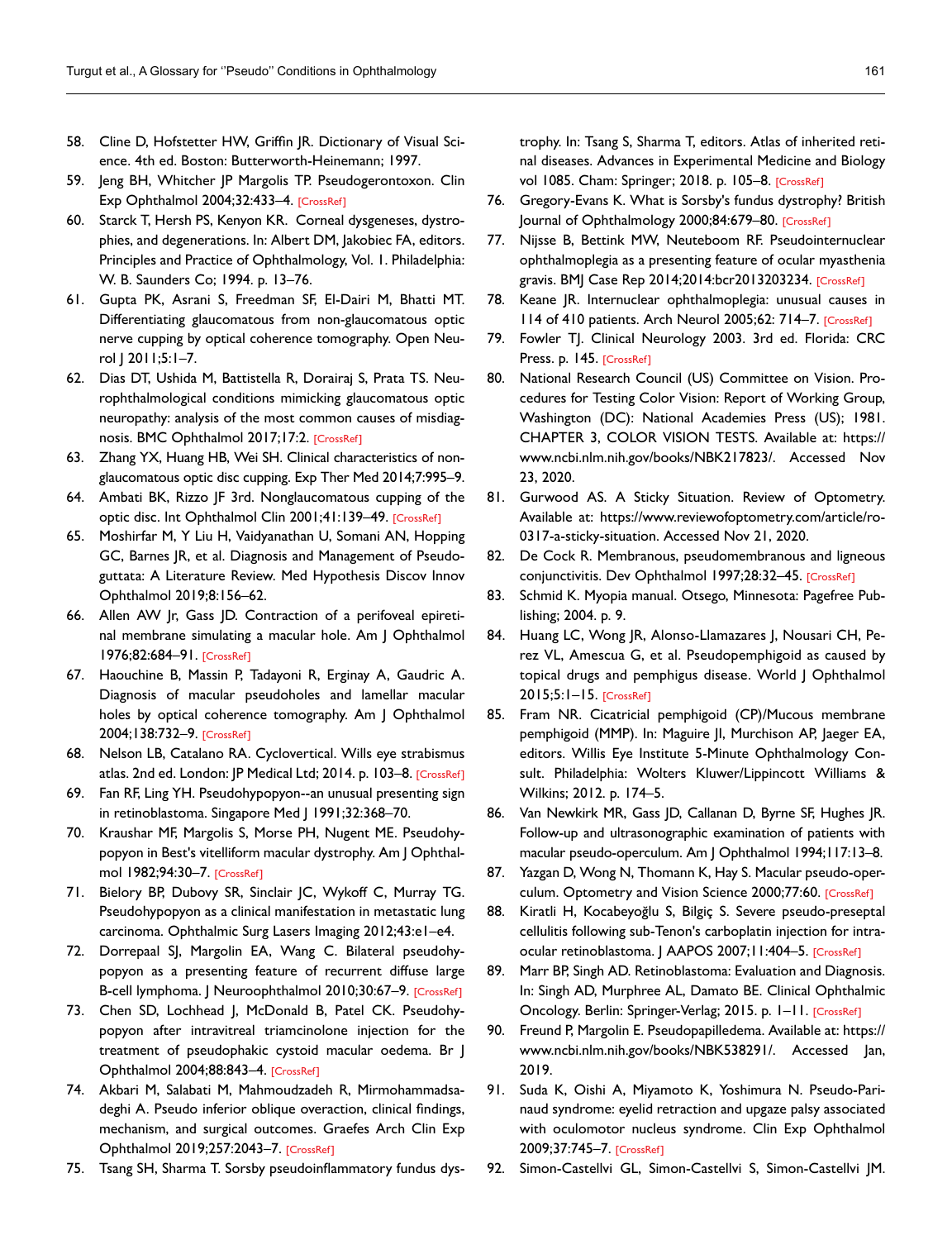- 58. Cline D, Hofstetter HW, Griffin JR. Dictionary of Visual Science. 4th ed. Boston: Butterworth-Heinemann; 1997.
- 59. Jeng BH, Whitcher JP Margolis TP. Pseudogerontoxon. Clin Exp Ophthalmol 2004;32:[433–4. \[CrossRef\]](https://doi.org/10.1111/j.1442-9071.2004.00849.x)
- 60. Starck T, Hersh PS, Kenyon KR. Corneal dysgeneses, dystrophies, and degenerations. In: Albert DM, Jakobiec FA, editors. Principles and Practice of Ophthalmology, Vol. 1. Philadelphia: W. B. Saunders Co; 1994. p. 13–76.
- 61. Gupta PK, Asrani S, Freedman SF, El-Dairi M, Bhatti MT. Differentiating glaucomatous from non-glaucomatous optic nerve cupping by optical coherence tomography. Open Neu[rol J 2011;5:1–7.](https://doi.org/10.2174/1874205X01105010001)
- 62. Dias DT, Ushida M, Battistella R, Dorairaj S, Prata TS. Neurophthalmological conditions mimicking glaucomatous optic neuropathy: analysis of the most common causes of misdiag-nosis. BMC Ophthalmol 2017;17[:2. \[CrossRef\]](https://doi.org/10.1186/s12886-016-0395-x)
- 63. Zhang YX, Huang HB, Wei SH. Clinical characteristics of nonglaucomatous optic disc cuppin[g. Exp Ther Med 2014;7:995–9.](https://doi.org/10.3892/etm.2014.1508)
- 64. Ambati BK, Rizzo JF 3rd. Nonglaucomatous cupping of the optic disc. Int Ophthalmol Clin 2001;41:139–[49. \[CrossRef\]](https://doi.org/10.1097/00004397-200101000-00013)
- 65. Moshirfar M, Y Liu H, Vaidyanathan U, Somani AN, Hopping GC, Barnes JR, et al. Diagnosis and Management of Pseudoguttata: A Literature Review. Med Hypothesis Discov Innov Ophthalmol 2019;8:156–62.
- 66. Allen AW Jr, Gass JD. Contraction of a perifoveal epiretinal membr[ane simulating a m](https://doi.org/10.1016/0002-9394(76)90002-7)acular hole. Am J Ophthalmol 1976;82:684–91. [CrossRef]
- 67. Haouchine B, Massin P, Tadayoni R, Erginay A, Gaudric A. Diagnosis of macular pseudoholes and lamellar macular holes by optical coherence tomography. Am | Ophthalmol 2004;138:732–[9. \[CrossRef\]](https://doi.org/10.1016/j.ajo.2004.06.088)
- 68. Nelson LB, Catalano RA. Cyclovertical. Wills eye strabismus atlas. 2nd ed. London: JP Medical Ltd; 2014. p. 103-8. [CrossRef]
- 69. Fan RF, Ling YH. Pseudohypopyon--an unusual presenting sign in retinoblastoma. Singapore Med | 1991;32:368–70.
- 70. Kraushar MF, Margolis S, Morse PH, Nugent ME. Pseudohypopyon in Best's vitelliform macular dystrophy. Am J Ophthalmol 1982;94:30[–7. \[CrossRef\]](https://doi.org/10.1016/0002-9394(82)90187-8)
- 71. Bielory BP, Dubovy SR, Sinclair JC, Wykoff C, Murray TG. Pseudohypopyon as a clinical manifestation in metastatic lung carcino[ma. Ophthalmic Surg Lasers Imaging 2012;43:e1–e4.](https://doi.org/10.3928/15428877-20120130-01)
- 72. Dorrepaal SJ, Margolin EA, Wang C. Bilateral pseudohypopyon as a presenting feature of recurrent diffuse large B-cell lymphoma. J Neuroophthalmol 2010;30:67-[9. \[CrossRef\]](https://doi.org/10.1097/WNO.0b013e3181ce2c98)
- 73. Chen SD, Lochhead J, McDonald B, Patel CK. Pseudohypopyon after intravitreal triamcinolone injection for the treatment of pseudophakic cystoid macular oedema. Br J Ophthalmol 2004;88:84[3–4. \[CrossRef\]](https://doi.org/10.1136/bjo.2003.033589)
- 74. Akbari M, Salabati M, Mahmoudzadeh R, Mirmohammadsadeghi A. Pseudo inferior oblique overaction, clinical findings, mechanism, and surgical outcomes. Graefes Arch Clin Exp Ophthalmol 2019;257:2043[–7. \[CrossRef\]](https://doi.org/10.1007/s00417-019-04384-1)
- 75. Tsang SH, Sharma T. Sorsby pseudoinflammatory fundus dys-

trophy. In: Tsang S, Sharma T, editors. Atlas of inherited retinal diseases. Advances in Experimental Medicine and Biology vol 1085. Cham: Springer; 2018. p. 105–[8. \[CrossRef\]](https://doi.org/10.1007/978-3-319-95046-4_20)

- 76. Gregory-Evans K. What is Sorsby's fundus dystrophy? British Journal of Ophthalmology 2000;84:679-[80. \[CrossRef\]](https://doi.org/10.1136/bjo.84.7.679)
- 77. Nijsse B, Bettink MW, Neuteboom RF. Pseudointernuclear ophthalmoplegia as a presenting feature of ocular myasthenia gravis. BMJ Case Rep 2014;2014:bcr201320323[4. \[CrossRef\]](https://doi.org/10.1136/bcr-2013-203234)
- 78. Keane JR. Internuclear ophthalmoplegia: unusual causes in 114 of 410 patients. Arch Neurol 2005;62: 714[–7. \[CrossRef\]](https://doi.org/10.1001/archneur.62.5.714)
- 79. Fowler TJ. Clinical Neurology 2003. 3rd ed. Florida: CRC Press. p. 1[45. \[CrossRef\]](https://doi.org/10.1201/b13547)
- 80. National Research Council (US) Committee on Vision. Procedures for Testing Color Vision: Report of Working Group, Washington (DC): National Academies Press (US); 1981. CHAPTER 3, COLOR VISION TESTS. Available at: https:// www.ncbi.nlm.nih.gov/books/NBK217823/. Accessed Nov 23, 2020.
- 81. Gurwood AS. A Sticky Situation. Review of Optometry. Available at: https://www.reviewofoptometry.com/article/ro-0317-a-sticky-situation. Accessed Nov 21, 2020.
- 82. De Cock R. Membranous, pseudomembranous and ligneous conjunctivitis. Dev Ophthalmol 1997;28:32–4[5. \[CrossRef\]](https://doi.org/10.1159/000060697)
- 83. Schmid K. Myopia manual. Otsego, Minnesota: Pagefree Publishing; 2004. p. 9.
- 84. Huang LC, Wong JR, Alonso-Llamazares J, Nousari CH, Perez VL, Amescua G, et al. Pseudopemphigoid as caused by topical drugs and pemphigus disease. World J Ophthalmol 2015;5:1–[15. \[CrossRef\]](https://doi.org/10.5318/wjo.v5.i1.1)
- 85. Fram NR. Cicatricial pemphigoid (CP)/Mucous membrane pemphigoid (MMP). In: Maguire JI, Murchison AP, Jaeger EA, editors. Willis Eye Institute 5-Minute Ophthalmology Consult. Philadelphia: Wolters Kluwer/Lippincott Williams & Wilkins; 2012. p. 174–5.
- 86. Van Newkirk MR, Gass JD, Callanan D, Byrne SF, Hughes JR. Follow-up and ultrasonographic examination of patients with macular pseudo-operculu[m. Am J Ophthalmol 1994;117:13–8.](https://doi.org/10.1016/S0002-9394(14)73009-0)
- 87. Yazgan D, Wong N, Thomann K, Hay S. Macular pseudo-oper-culum. Optometry and Vision Science 2000;7[7:60. \[CrossRef\]](https://doi.org/10.1097/00006324-200012001-00075)
- 88. Kiratli H, Kocabeyoğlu S, Bilgiç S. Severe pseudo-preseptal cellulitis following sub-Tenon's carboplatin injection for intraocular retinoblastoma. | AAPOS 2007;11:404-5. [CrossRef]
- 89. Marr BP, Singh AD. Retinoblastoma: Evaluation and Diagnosis. In: Singh AD, Murphree AL, Damato BE. Clinical Ophthalmic Oncology. Berlin: Springer-Verlag; 2015. p. 1–[11. \[CrossRef\]](https://doi.org/10.1007/978-3-662-43451-2_1)
- 90. Freund P, Margolin E. Pseudopapilledema. Available at: https:// www.ncbi.nlm.nih.gov/books/NBK538291/. Accessed Jan, 2019.
- 91. Suda K, Oishi A, Miyamoto K, Yoshimura N. Pseudo-Parinaud syndrome: eyelid retraction and upgaze palsy associated with oculomotor nucleus syndrome. Clin Exp Ophthalmol 2009;37:745[–7. \[CrossRef\]](https://doi.org/10.1111/j.1442-9071.2009.02118.x)
- 92. Simon-Castellvi GL, Simon-Castellvi S, Simon-Castellvi JM.